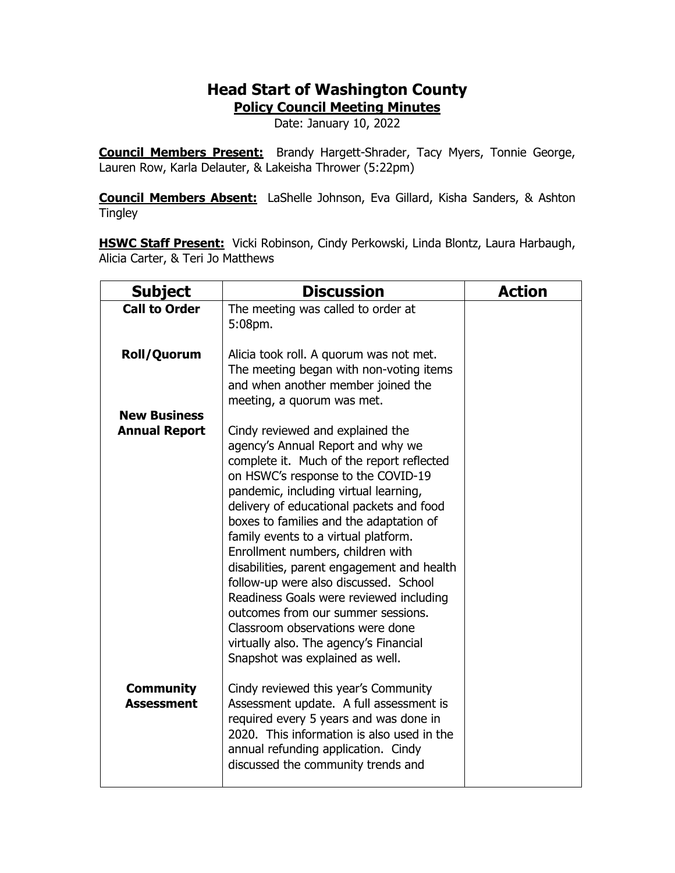## **Head Start of Washington County**

**Policy Council Meeting Minutes**

Date: January 10, 2022

**Council Members Present:** Brandy Hargett-Shrader, Tacy Myers, Tonnie George, Lauren Row, Karla Delauter, & Lakeisha Thrower (5:22pm)

**Council Members Absent:** LaShelle Johnson, Eva Gillard, Kisha Sanders, & Ashton **Tingley** 

**HSWC Staff Present:** Vicki Robinson, Cindy Perkowski, Linda Blontz, Laura Harbaugh, Alicia Carter, & Teri Jo Matthews

| <b>Subject</b>                              | <b>Discussion</b>                                                                                                                                                                                                                                                                                                                                                                                                                                                                                                                                                                                                                                              | <b>Action</b> |
|---------------------------------------------|----------------------------------------------------------------------------------------------------------------------------------------------------------------------------------------------------------------------------------------------------------------------------------------------------------------------------------------------------------------------------------------------------------------------------------------------------------------------------------------------------------------------------------------------------------------------------------------------------------------------------------------------------------------|---------------|
| <b>Call to Order</b>                        | The meeting was called to order at<br>5:08pm.                                                                                                                                                                                                                                                                                                                                                                                                                                                                                                                                                                                                                  |               |
| Roll/Quorum                                 | Alicia took roll. A quorum was not met.<br>The meeting began with non-voting items<br>and when another member joined the<br>meeting, a quorum was met.                                                                                                                                                                                                                                                                                                                                                                                                                                                                                                         |               |
| <b>New Business</b><br><b>Annual Report</b> | Cindy reviewed and explained the<br>agency's Annual Report and why we<br>complete it. Much of the report reflected<br>on HSWC's response to the COVID-19<br>pandemic, including virtual learning,<br>delivery of educational packets and food<br>boxes to families and the adaptation of<br>family events to a virtual platform.<br>Enrollment numbers, children with<br>disabilities, parent engagement and health<br>follow-up were also discussed. School<br>Readiness Goals were reviewed including<br>outcomes from our summer sessions.<br>Classroom observations were done<br>virtually also. The agency's Financial<br>Snapshot was explained as well. |               |
| <b>Community</b><br><b>Assessment</b>       | Cindy reviewed this year's Community<br>Assessment update. A full assessment is<br>required every 5 years and was done in<br>2020. This information is also used in the<br>annual refunding application. Cindy<br>discussed the community trends and                                                                                                                                                                                                                                                                                                                                                                                                           |               |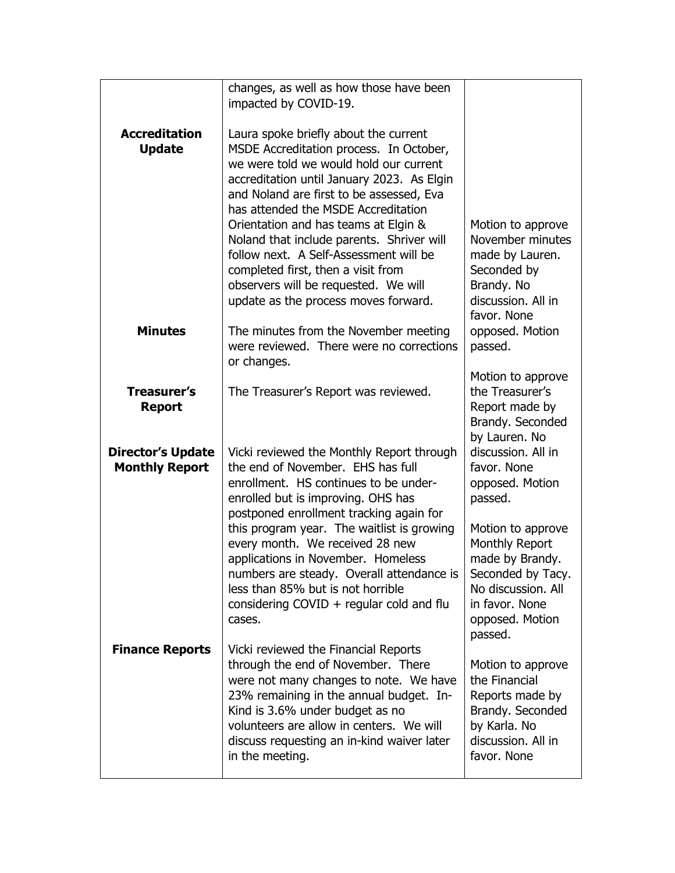|                                                   | changes, as well as how those have been<br>impacted by COVID-19.                                                                                                                                                                                                                                                |                                                                                                                                                   |
|---------------------------------------------------|-----------------------------------------------------------------------------------------------------------------------------------------------------------------------------------------------------------------------------------------------------------------------------------------------------------------|---------------------------------------------------------------------------------------------------------------------------------------------------|
|                                                   |                                                                                                                                                                                                                                                                                                                 |                                                                                                                                                   |
| <b>Accreditation</b><br><b>Update</b>             | Laura spoke briefly about the current<br>MSDE Accreditation process. In October,<br>we were told we would hold our current                                                                                                                                                                                      |                                                                                                                                                   |
|                                                   | accreditation until January 2023. As Elgin<br>and Noland are first to be assessed, Eva<br>has attended the MSDE Accreditation                                                                                                                                                                                   |                                                                                                                                                   |
|                                                   | Orientation and has teams at Elgin &<br>Noland that include parents. Shriver will<br>follow next. A Self-Assessment will be<br>completed first, then a visit from<br>observers will be requested. We will<br>update as the process moves forward.                                                               | Motion to approve<br>November minutes<br>made by Lauren.<br>Seconded by<br>Brandy. No<br>discussion. All in<br>favor. None                        |
| <b>Minutes</b>                                    | The minutes from the November meeting<br>were reviewed. There were no corrections<br>or changes.                                                                                                                                                                                                                | opposed. Motion<br>passed.                                                                                                                        |
| <b>Treasurer's</b><br><b>Report</b>               | The Treasurer's Report was reviewed.                                                                                                                                                                                                                                                                            | Motion to approve<br>the Treasurer's<br>Report made by<br>Brandy. Seconded<br>by Lauren. No                                                       |
| <b>Director's Update</b><br><b>Monthly Report</b> | Vicki reviewed the Monthly Report through<br>the end of November. EHS has full<br>enrollment. HS continues to be under-<br>enrolled but is improving. OHS has<br>postponed enrollment tracking again for                                                                                                        | discussion. All in<br>favor. None<br>opposed. Motion<br>passed.                                                                                   |
|                                                   | this program year. The waitlist is growing<br>every month. We received 28 new<br>applications in November. Homeless<br>numbers are steady. Overall attendance is<br>less than 85% but is not horrible<br>considering $COVID + regular cold$ and flu<br>cases.                                                   | Motion to approve<br>Monthly Report<br>made by Brandy.<br>Seconded by Tacy.<br>No discussion. All<br>in favor. None<br>opposed. Motion<br>passed. |
| <b>Finance Reports</b>                            | Vicki reviewed the Financial Reports<br>through the end of November. There<br>were not many changes to note. We have<br>23% remaining in the annual budget. In-<br>Kind is 3.6% under budget as no<br>volunteers are allow in centers. We will<br>discuss requesting an in-kind waiver later<br>in the meeting. | Motion to approve<br>the Financial<br>Reports made by<br>Brandy. Seconded<br>by Karla. No<br>discussion. All in<br>favor. None                    |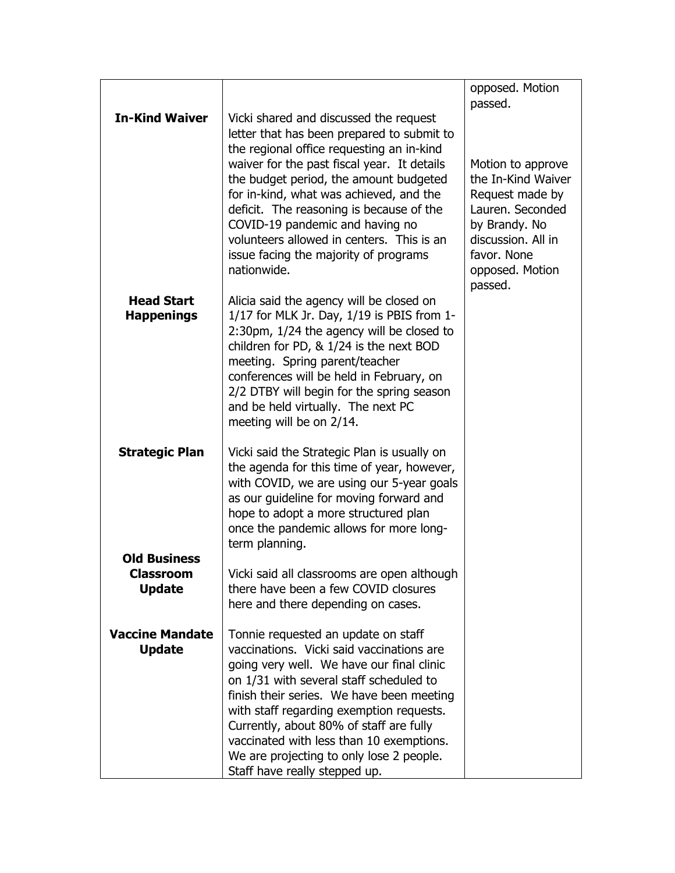|                                                          |                                                                                                                                                                                                                                                                                                                                                                                                                                       | opposed. Motion<br>passed.                                                                                                                                         |
|----------------------------------------------------------|---------------------------------------------------------------------------------------------------------------------------------------------------------------------------------------------------------------------------------------------------------------------------------------------------------------------------------------------------------------------------------------------------------------------------------------|--------------------------------------------------------------------------------------------------------------------------------------------------------------------|
| <b>In-Kind Waiver</b>                                    | Vicki shared and discussed the request<br>letter that has been prepared to submit to<br>the regional office requesting an in-kind                                                                                                                                                                                                                                                                                                     |                                                                                                                                                                    |
|                                                          | waiver for the past fiscal year. It details<br>the budget period, the amount budgeted<br>for in-kind, what was achieved, and the<br>deficit. The reasoning is because of the<br>COVID-19 pandemic and having no<br>volunteers allowed in centers. This is an<br>issue facing the majority of programs<br>nationwide.                                                                                                                  | Motion to approve<br>the In-Kind Waiver<br>Request made by<br>Lauren. Seconded<br>by Brandy. No<br>discussion. All in<br>favor. None<br>opposed. Motion<br>passed. |
| <b>Head Start</b><br><b>Happenings</b>                   | Alicia said the agency will be closed on<br>1/17 for MLK Jr. Day, 1/19 is PBIS from 1-<br>2:30pm, 1/24 the agency will be closed to<br>children for PD, & 1/24 is the next BOD<br>meeting. Spring parent/teacher<br>conferences will be held in February, on<br>2/2 DTBY will begin for the spring season<br>and be held virtually. The next PC<br>meeting will be on 2/14.                                                           |                                                                                                                                                                    |
| <b>Strategic Plan</b>                                    | Vicki said the Strategic Plan is usually on<br>the agenda for this time of year, however,<br>with COVID, we are using our 5-year goals<br>as our guideline for moving forward and<br>hope to adopt a more structured plan<br>once the pandemic allows for more long-<br>term planning.                                                                                                                                                |                                                                                                                                                                    |
| <b>Old Business</b><br><b>Classroom</b><br><b>Update</b> | Vicki said all classrooms are open although<br>there have been a few COVID closures<br>here and there depending on cases.                                                                                                                                                                                                                                                                                                             |                                                                                                                                                                    |
| <b>Vaccine Mandate</b><br><b>Update</b>                  | Tonnie requested an update on staff<br>vaccinations. Vicki said vaccinations are<br>going very well. We have our final clinic<br>on 1/31 with several staff scheduled to<br>finish their series. We have been meeting<br>with staff regarding exemption requests.<br>Currently, about 80% of staff are fully<br>vaccinated with less than 10 exemptions.<br>We are projecting to only lose 2 people.<br>Staff have really stepped up. |                                                                                                                                                                    |